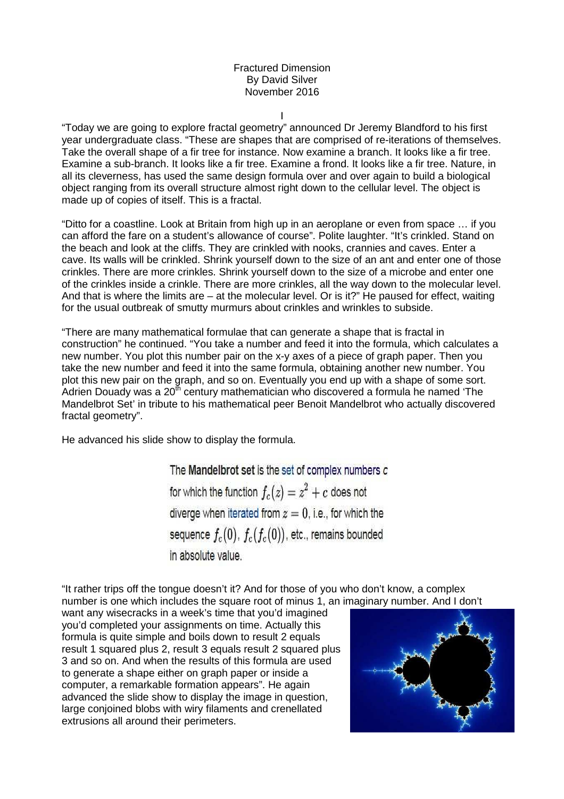## Fractured Dimension By David Silver November 2016

I

"Today we are going to explore fractal geometry" announced Dr Jeremy Blandford to his first year undergraduate class. "These are shapes that are comprised of re-iterations of themselves. Take the overall shape of a fir tree for instance. Now examine a branch. It looks like a fir tree. Examine a sub-branch. It looks like a fir tree. Examine a frond. It looks like a fir tree. Nature, in all its cleverness, has used the same design formula over and over again to build a biological object ranging from its overall structure almost right down to the cellular level. The object is made up of copies of itself. This is a fractal.

"Ditto for a coastline. Look at Britain from high up in an aeroplane or even from space … if you can afford the fare on a student's allowance of course". Polite laughter. "It's crinkled. Stand on the beach and look at the cliffs. They are crinkled with nooks, crannies and caves. Enter a cave. Its walls will be crinkled. Shrink yourself down to the size of an ant and enter one of those crinkles. There are more crinkles. Shrink yourself down to the size of a microbe and enter one of the crinkles inside a crinkle. There are more crinkles, all the way down to the molecular level. And that is where the limits are – at the molecular level. Or is it?" He paused for effect, waiting for the usual outbreak of smutty murmurs about crinkles and wrinkles to subside.

"There are many mathematical formulae that can generate a shape that is fractal in construction" he continued. "You take a number and feed it into the formula, which calculates a new number. You plot this number pair on the x-y axes of a piece of graph paper. Then you take the new number and feed it into the same formula, obtaining another new number. You plot this new pair on the graph, and so on. Eventually you end up with a shape of some sort. Adrien Douady was a 20th century mathematician who discovered a formula he named 'The Mandelbrot Set' in tribute to his mathematical peer Benoit Mandelbrot who actually discovered fractal geometry".

He advanced his slide show to display the formula.

The Mandelbrot set is the set of complex numbers c for which the function  $f_c(z) = z^2 + c$  does not diverge when iterated from  $z=0$ , i.e., for which the sequence  $f_c(0)$ ,  $f_c(f_c(0))$ , etc., remains bounded in absolute value.

"It rather trips off the tongue doesn't it? And for those of you who don't know, a complex number is one which includes the square root of minus 1, an imaginary number. And I don't

want any wisecracks in a week's time that you'd imagined you'd completed your assignments on time. Actually this formula is quite simple and boils down to result 2 equals result 1 squared plus 2, result 3 equals result 2 squared plus 3 and so on. And when the results of this formula are used to generate a shape either on graph paper or inside a computer, a remarkable formation appears". He again advanced the slide show to display the image in question, large conjoined blobs with wiry filaments and crenellated extrusions all around their perimeters.

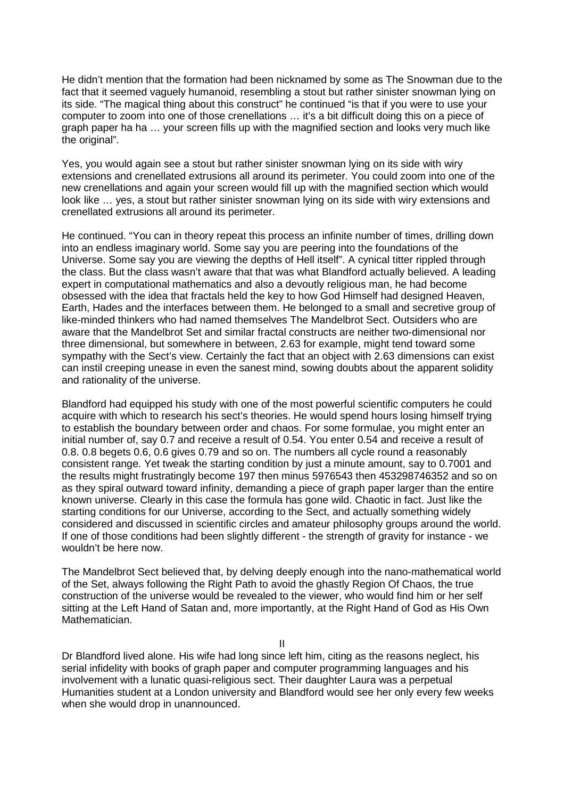He didn't mention that the formation had been nicknamed by some as The Snowman due to the fact that it seemed vaguely humanoid, resembling a stout but rather sinister snowman lying on its side. "The magical thing about this construct" he continued "is that if you were to use your computer to zoom into one of those crenellations … it's a bit difficult doing this on a piece of graph paper ha ha … your screen fills up with the magnified section and looks very much like the original".

Yes, you would again see a stout but rather sinister snowman lying on its side with wiry extensions and crenellated extrusions all around its perimeter. You could zoom into one of the new crenellations and again your screen would fill up with the magnified section which would look like … yes, a stout but rather sinister snowman lying on its side with wiry extensions and crenellated extrusions all around its perimeter.

He continued. "You can in theory repeat this process an infinite number of times, drilling down into an endless imaginary world. Some say you are peering into the foundations of the Universe. Some say you are viewing the depths of Hell itself". A cynical titter rippled through the class. But the class wasn't aware that that was what Blandford actually believed. A leading expert in computational mathematics and also a devoutly religious man, he had become obsessed with the idea that fractals held the key to how God Himself had designed Heaven, Earth, Hades and the interfaces between them. He belonged to a small and secretive group of like-minded thinkers who had named themselves The Mandelbrot Sect. Outsiders who are aware that the Mandelbrot Set and similar fractal constructs are neither two-dimensional nor three dimensional, but somewhere in between, 2.63 for example, might tend toward some sympathy with the Sect's view. Certainly the fact that an object with 2.63 dimensions can exist can instil creeping unease in even the sanest mind, sowing doubts about the apparent solidity and rationality of the universe.

Blandford had equipped his study with one of the most powerful scientific computers he could acquire with which to research his sect's theories. He would spend hours losing himself trying to establish the boundary between order and chaos. For some formulae, you might enter an initial number of, say 0.7 and receive a result of 0.54. You enter 0.54 and receive a result of 0.8. 0.8 begets 0.6, 0.6 gives 0.79 and so on. The numbers all cycle round a reasonably consistent range. Yet tweak the starting condition by just a minute amount, say to 0.7001 and the results might frustratingly become 197 then minus 5976543 then 453298746352 and so on as they spiral outward toward infinity, demanding a piece of graph paper larger than the entire known universe. Clearly in this case the formula has gone wild. Chaotic in fact. Just like the starting conditions for our Universe, according to the Sect, and actually something widely considered and discussed in scientific circles and amateur philosophy groups around the world. If one of those conditions had been slightly different - the strength of gravity for instance - we wouldn't be here now.

The Mandelbrot Sect believed that, by delving deeply enough into the nano-mathematical world of the Set, always following the Right Path to avoid the ghastly Region Of Chaos, the true construction of the universe would be revealed to the viewer, who would find him or her self sitting at the Left Hand of Satan and, more importantly, at the Right Hand of God as His Own Mathematician.

II

Dr Blandford lived alone. His wife had long since left him, citing as the reasons neglect, his serial infidelity with books of graph paper and computer programming languages and his involvement with a lunatic quasi-religious sect. Their daughter Laura was a perpetual Humanities student at a London university and Blandford would see her only every few weeks when she would drop in unannounced.